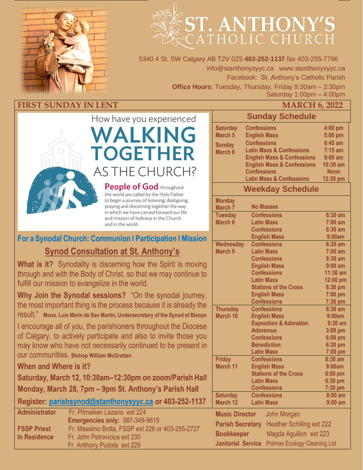

# ST. ANTHONY' CATHOLIC CHURCH

5340 4 St. SW Calgary AB T2V 0Z5 **403-252-1137** fax 403-255-7796 info@stanthonysyyc.ca www.stanthonysyyc.ca Facebook: St. Anthony's Catholic Parish **Office Hours**: Tuesday, Thursday, Friday 9:30am – 3:30pm Saturday 1:00pm – 4:00pm

### **FIRST SUNDAY IN LENT MARCH 6, 2022**



**People of God throughout** the world are called by the Holy Father to begin a journey of listening, dialoguing, praying and discerning together the way in which we have carried forward our life and mission of holiness in the Church and in the world.

### **For a Synodal Church: Communion l Participation l Mission Synod Consultation at St. Anthony's**

**What is it?** Synodality is discerning how the Spirit is moving through and with the Body of Christ, so that we may continue to fulfill our mission to evangelize in the world.

**Why Join the Synodal sessions?** "On the synodal journey, the most important thing is the process because it is already the result." **Mons. Luis Marin de San Martin, Undersecretary of the Synod of Bisops**

I encourage all of you, the parishioners throughout the Diocese of Calgary, to actively participate and also to invite those you may know who have not necessarily continued to be present in our communities. **Bishop William McGrattan**

**When and Where is it?**

**Saturday, March 12, 10:30am–12:30pm on zoom/Parish Hall Monday, March 28, 7pm – 9pm St. Anthony's Parish Hall**

**Register: [parishsynod@stanthonysyyc.ca](mailto:parishsynod@stanthonysyyc.ca) or 403-252-1137**

| <b>Administrator</b> | Fr. Pilmaiken Lezano ext 224                    |  |  |  |
|----------------------|-------------------------------------------------|--|--|--|
|                      | Emergencies only: 587-349-9615                  |  |  |  |
| <b>FSSP Priest</b>   | Fr. Massimo Botta, FSSP ext 226 or 403-255-2727 |  |  |  |
| In Residence         | Fr. John Petravicius ext 230                    |  |  |  |
|                      | Fr. Anthony Pudota ext 229                      |  |  |  |

|                                                                 | , , , , , , , , , ,                       |                        |  |  |  |
|-----------------------------------------------------------------|-------------------------------------------|------------------------|--|--|--|
| <b>Sunday Schedule</b>                                          |                                           |                        |  |  |  |
| <b>Saturday</b><br>March <sub>5</sub>                           | <b>Confessions</b><br><b>English Mass</b> | 4:00 pm<br>5:00 pm     |  |  |  |
| <b>Sunday</b>                                                   | <b>Confessions</b>                        | $6:45$ am              |  |  |  |
| March 6                                                         | <b>Latin Mass &amp; Confessions</b>       | $7:15$ am              |  |  |  |
|                                                                 | <b>English Mass &amp; Confessions</b>     | $9:00$ am              |  |  |  |
|                                                                 | <b>English Mass &amp; Confessions</b>     | 10:30 am               |  |  |  |
|                                                                 | <b>Confessions</b>                        | <b>Noon</b>            |  |  |  |
| <b>Latin Mass &amp; Confessions</b><br>12:30 pm                 |                                           |                        |  |  |  |
|                                                                 | <b>Weekday Schedule</b>                   |                        |  |  |  |
| <b>Monday</b><br><b>No Masses</b><br>March 7                    |                                           |                        |  |  |  |
| <b>Tuesday</b>                                                  | <b>Confessions</b>                        | $6:30$ am              |  |  |  |
| March <sub>8</sub>                                              | <b>Latin Mass</b>                         | $7:00$ am<br>8:30 am   |  |  |  |
|                                                                 | <b>Confessions</b><br><b>English Mass</b> |                        |  |  |  |
|                                                                 | 9:00am                                    |                        |  |  |  |
| <b>Wednesday</b><br>March <sub>9</sub>                          | <b>Confessions</b>                        | $6:30$ am              |  |  |  |
|                                                                 | <b>Latin Mass</b><br><b>Confessions</b>   | $7:00$ am<br>$8:30$ am |  |  |  |
|                                                                 | <b>English Mass</b>                       | $9:00$ am              |  |  |  |
|                                                                 | <b>Confessions</b>                        | 11:30 am               |  |  |  |
|                                                                 | <b>Latin Mass</b>                         | 12:00 pm               |  |  |  |
|                                                                 | <b>Stations of the Cross</b>              | 6:30 pm                |  |  |  |
|                                                                 | <b>English Mass</b>                       | 7:00 pm                |  |  |  |
|                                                                 | <b>Confessions</b>                        | 7:30 pm                |  |  |  |
| <b>Thursday</b>                                                 | <b>Confessions</b>                        | 8:30 am                |  |  |  |
| <b>March 10</b>                                                 | <b>English Mass</b>                       | 9:00am                 |  |  |  |
|                                                                 | <b>Exposition &amp; Adoration</b>         | $9:30$ am              |  |  |  |
|                                                                 | <b>Adoremus</b>                           | $3:00$ pm              |  |  |  |
|                                                                 | <b>Confessions</b><br><b>Benediction</b>  | $6:00$ pm              |  |  |  |
|                                                                 | <b>Latin Mass</b>                         | 6:30 pm<br>7:00 pm     |  |  |  |
| <b>Friday</b>                                                   | <b>Confessions</b>                        | 8:30 am                |  |  |  |
| March 11                                                        | <b>English Mass</b>                       | 9:00am                 |  |  |  |
|                                                                 | <b>Stations of the Cross</b>              | $6:00$ pm              |  |  |  |
|                                                                 | <b>Latin Mass</b>                         | 6:30 pm                |  |  |  |
|                                                                 | <b>Confessions</b>                        | 7:30 pm                |  |  |  |
| <b>Saturday</b>                                                 | <b>Confessions</b>                        | $8:00$ am              |  |  |  |
| <b>March 12</b>                                                 | <b>Latin Mass</b>                         | $9:00$ am              |  |  |  |
| <b>Music Director</b>                                           | John Morgan                               |                        |  |  |  |
| <b>Heather Schilling ext 222</b><br><b>Parish Secretary</b>     |                                           |                        |  |  |  |
| Magda Aguillon ext 223<br><b>Bookkeeper</b>                     |                                           |                        |  |  |  |
| <b>Janitorial Service</b><br><b>Polmax Ecology Cleaning Ltd</b> |                                           |                        |  |  |  |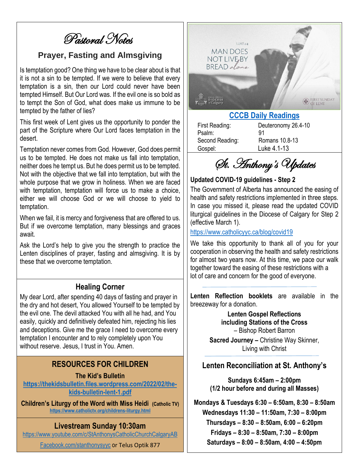Pastoral Notes

### **Prayer, Fasting and Almsgiving**

Is temptation good? One thing we have to be clear about is that it is not a sin to be tempted. If we were to believe that every temptation is a sin, then our Lord could never have been tempted Himself. But Our Lord was. If the evil one is so bold as to tempt the Son of God, what does make us immune to be tempted by the father of lies?

This first week of Lent gives us the opportunity to ponder the part of the Scripture where Our Lord faces temptation in the desert.

Temptation never comes from God. However, God does permit us to be tempted. He does not make us fall into temptation, neither does he tempt us. But he does permit us to be tempted. Not with the objective that we fall into temptation, but with the whole purpose that we grow in holiness. When we are faced with temptation, temptation will force us to make a choice, either we will choose God or we will choose to yield to temptation.

When we fail, it is mercy and forgiveness that are offered to us. But if we overcome temptation, many blessings and graces await.

Ask the Lord's help to give you the strength to practice the Lenten disciplines of prayer, fasting and almsgiving. It is by these that we overcome temptation.

#### **Healing Corner**

My dear Lord, after spending 40 days of fasting and prayer in the dry and hot desert, You allowed Yourself to be tempted by the evil one. The devil attacked You with all he had, and You easily, quickly and definitively defeated him, rejecting his lies and deceptions. Give me the grace I need to overcome every temptation I encounter and to rely completely upon You without reserve. Jesus, I trust in You. Amen.

#### **RESOURCES FOR CHILDREN**

#### **The Kid's Bulletin**

**[https://thekidsbulletin.files.wordpress.com/2022/02/the](https://thekidsbulletin.files.wordpress.com/2022/02/the-kids-bulletin-lent-1.pdf)[kids-bulletin-lent-1.pdf](https://thekidsbulletin.files.wordpress.com/2022/02/the-kids-bulletin-lent-1.pdf)**

**Children's Liturgy of the Word with Miss Heidi (Catholic TV) <https://www.catholictv.org/childrens-liturgy.html>**

#### **Livestream Sunday 10:30am**

<https://www.youtube.com/c/StAnthonysCatholicChurchCalgaryAB>

[Facebook.com/stanthonysyyc](https://www.facebook.com/stanthonysyyc/) or Telus Optik 877



### **[CCCB Daily Readings](http://ec2-34-245-7-114.eu-west-1.compute.amazonaws.com/daily-texts/reading/2022-03-06)**

Psalm: 91 Gospel: Luke 4.1-13

First Reading: Deuteronomy 26.4-10 Second Reading: Romans 10.8-13

St. Anthony's Updates

#### **Updated COVID-19 guidelines - Step 2**

The Government of Alberta has announced the easing of health and safety restrictions implemented in three steps. In case you missed it, please read the updated COVID liturgical guidelines in the Diocese of Calgary for Step 2 (effective March 1).

#### <https://www.catholicyyc.ca/blog/covid19>

We take this opportunity to thank all of you for your cooperation in observing the health and safety restrictions for almost two years now. At this time, we pace our walk together toward the easing of these restrictions with a lot of care and concern for the good of everyone.

**Lenten Reflection booklets** are available in the breezeway for a donation.

> **Lenten Gospel Reflections including Stations of the Cross** – Bishop Robert Barron

**Sacred Journey –** Christine Way Skinner, Living with Christ

#### **Lenten Reconciliation at St. Anthony's**

**Sundays 6:45am – 2:00pm (1/2 hour before and during all Masses)**

**Mondays & Tuesdays 6:30 – 6:50am, 8:30 – 8:50am Wednesdays 11:30 – 11:50am, 7:30 – 8:00pm Thursdays – 8:30 – 8:50am, 6:00 – 6:20pm Fridays – 8:30 – 8:50am, 7:30 – 8:00pm Saturdays – 8:00 – 8:50am, 4:00 – 4:50pm**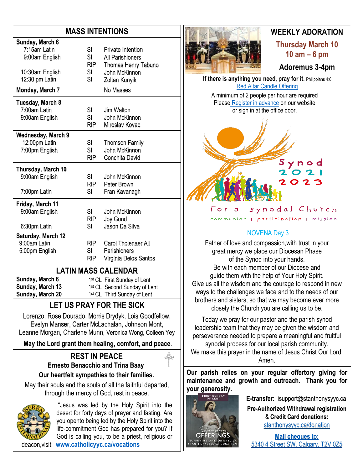### **MASS INTENTIONS**

| Sunday, March 6    |            |                          |  |
|--------------------|------------|--------------------------|--|
| 7:15am Latin       | SI         | <b>Private Intention</b> |  |
| 9:00am English     | SI         | All Parishioners         |  |
|                    | <b>RIP</b> | Thomas Henry Tabuno      |  |
| 10:30am English    | SI         | John McKinnon            |  |
| 12:30 pm Latin     | SI         | Zoltan Kunyik            |  |
| Monday, March 7    |            | No Masses                |  |
| Tuesday, March 8   |            |                          |  |
| 7:00am Latin       | SI         | Jim Walton               |  |
| 9:00am English     | SI         | John McKinnon            |  |
|                    | <b>RIP</b> | Miroslav Kovac           |  |
| Wednesday, March 9 |            |                          |  |
| 12:00pm Latin      | SI         | <b>Thomson Family</b>    |  |
| 7:00pm English     | SI         | John McKinnon            |  |
|                    | <b>RIP</b> | Conchita David           |  |
| Thursday, March 10 |            |                          |  |
| 9:00am English     | SI         | John McKinnon            |  |
|                    | <b>RIP</b> | Peter Brown              |  |
| 7:00pm Latin       | SI         | Fran Kavanagh            |  |
| Friday, March 11   |            |                          |  |
| 9:00am English     | SI         | John McKinnon            |  |
|                    | <b>RIP</b> | Joy Gund                 |  |
| 6:30pm Latin       | SI         | Jason Da Silva           |  |
| Saturday, March 12 |            |                          |  |
| 9:00am Latin       | RIP.       | Carol Tholenaer All      |  |
| 5:00pm English     | SI         | Parishioners             |  |
|                    | RIP        | Virginia Delos Santos    |  |

### **LATIN MASS CALENDAR**

**Sunday, March 6 Sunday, March 13 Sunday, March 20** 1<sup>st</sup> CL First Sunday of Lent 1st CL Second Sunday of Lent

1 st CL Third Sunday of Lent

### **LET US PRAY FOR THE SICK**

Lorenzo, Rose Dourado, Morris Drydyk, Lois Goodfellow, Evelyn Manser, Carter McLachalan, Johnson Mont, Leanne Morgan, Charlene Munn, Veronica Wong, Colleen Yey

**May the Lord grant them healing, comfort, and peace**.

### **REST IN PEACE Ernesto Benacchio and Trina Baay**

**Our heartfelt sympathies to their families.**

May their souls and the souls of all the faithful departed, through the mercy of God, rest in peace.



"Jesus was led by the Holy Spirit into the desert for forty days of prayer and fasting. Are you opento being led by the Holy Spirit into the life-commitment God has prepared for you? If God is calling you, to be a priest, religious or deacon,visit: **[www.catholicyyc.ca/vocations](http://www.catholicyyc.ca/vocations)**



### **WEEKLY ADORATION Thursday March 10**

**10 am – 6 pm**

**Adoremus 3-4pm**

**If there is anything you need, pray for it.** Philippians 4:6 [Red Altar Candle Offering](https://stanthonysyyc.ca/wp-content/uploads/2020/10/RED-ALTAR-CANDLE-OFFERING.pdf)

A minimum of 2 people per hour are required Please Register [in advance](https://volunteersignup.org/EXBPK) on our website or sign in at the office door.



synodal Church For  $\alpha$ communion | participation | mission

### NOVENA Day 3

Father of love and compassion,with trust in your great mercy we place our Diocesan Phase of the Synod into your hands. Be with each member of our Diocese and guide them with the help of Your Holy Spirit. Give us all the wisdom and the courage to respond in new ways to the challenges we face and to the needs of our brothers and sisters, so that we may become ever more closely the Church you are calling us to be.

Today we pray for our pastor and the parish synod leadership team that they may be given the wisdom and perseverance needed to prepare a meaningful and fruitful synodal process for our local parish community. We make this prayer in the name of Jesus Christ Our Lord.

Amen.

**Our parish relies on your regular offertory giving for maintenance and growth and outreach. Thank you for your generosity.** 



**E-transfer:** isupport@stanthonysyyc.ca **Pre-Authorized Withdrawal registration**  & **Credit Card donations:** [stanthonysyyc.ca/donation](https://stanthonysyyc.ca/donation/)

**Mail cheques to:** 5340 4 Street SW, Calgary, T2V 0Z5